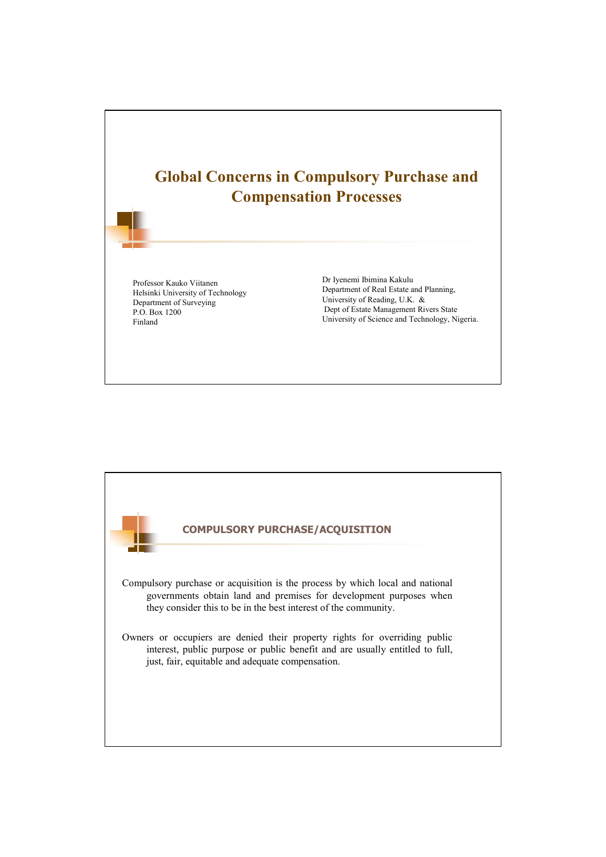

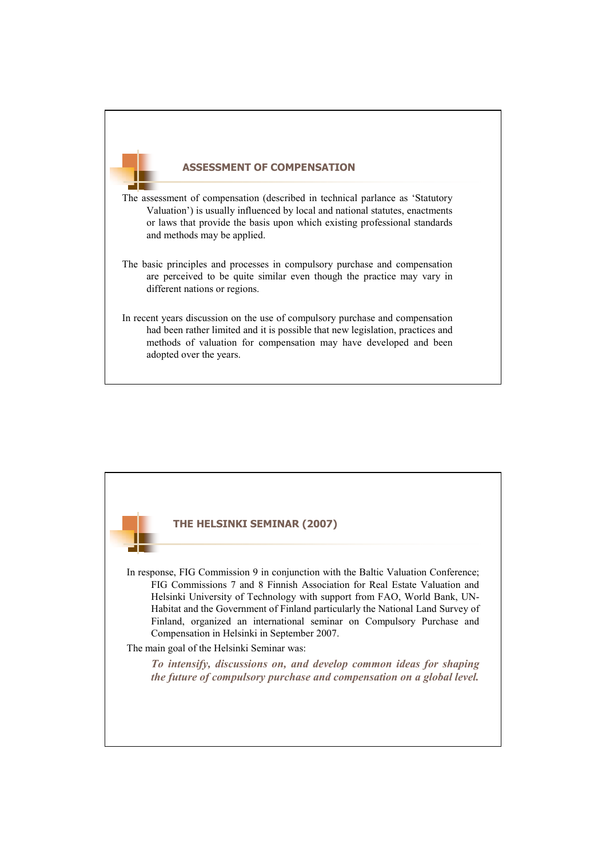## **ASSESSMENT OF COMPENSATION**

The assessment of compensation (described in technical parlance as 'Statutory Valuation') is usually influenced by local and national statutes, enactments or laws that provide the basis upon which existing professional standards and methods may be applied.

- The basic principles and processes in compulsory purchase and compensation are perceived to be quite similar even though the practice may vary in different nations or regions.
- In recent years discussion on the use of compulsory purchase and compensation had been rather limited and it is possible that new legislation, practices and methods of valuation for compensation may have developed and been adopted over the years.

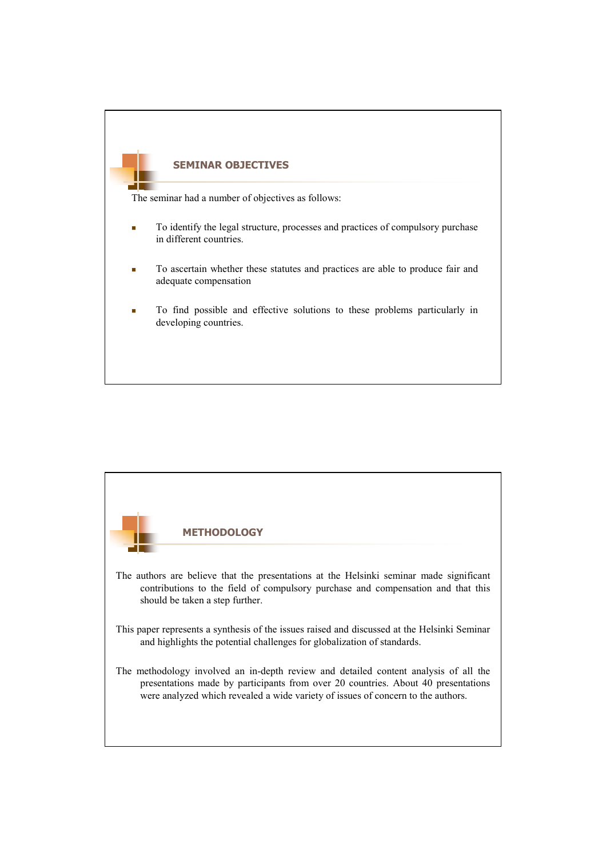

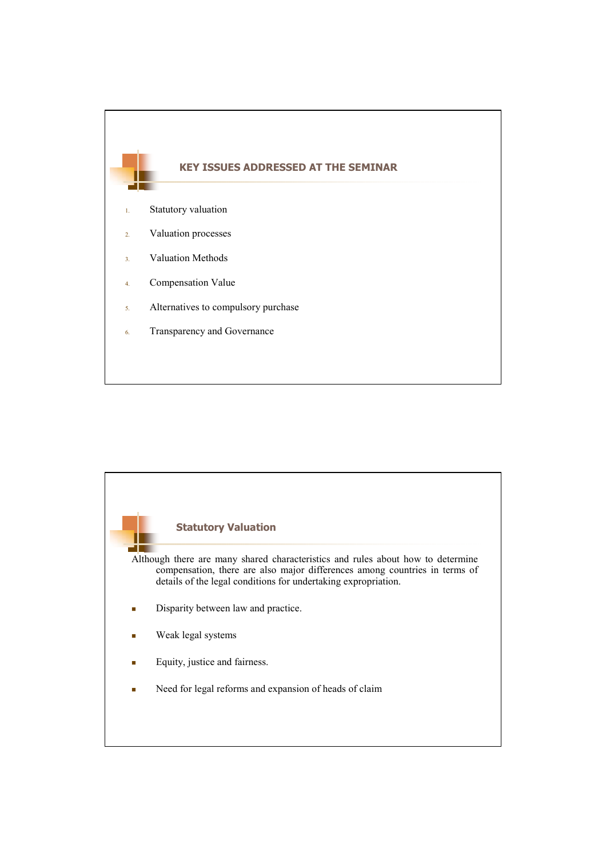

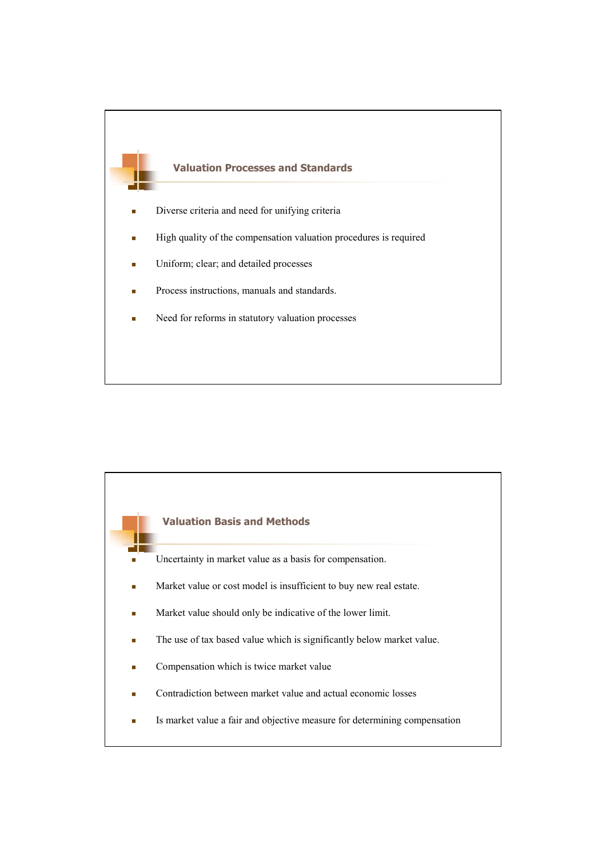

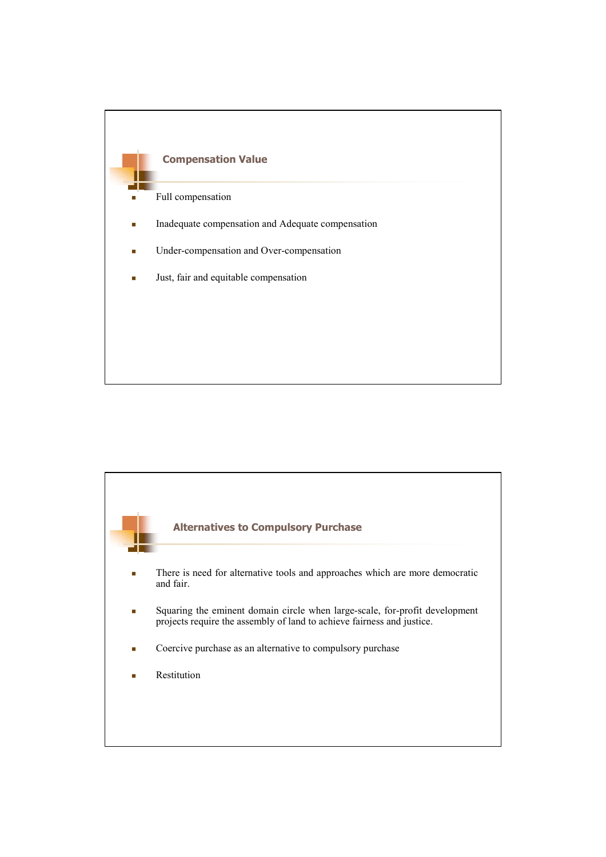

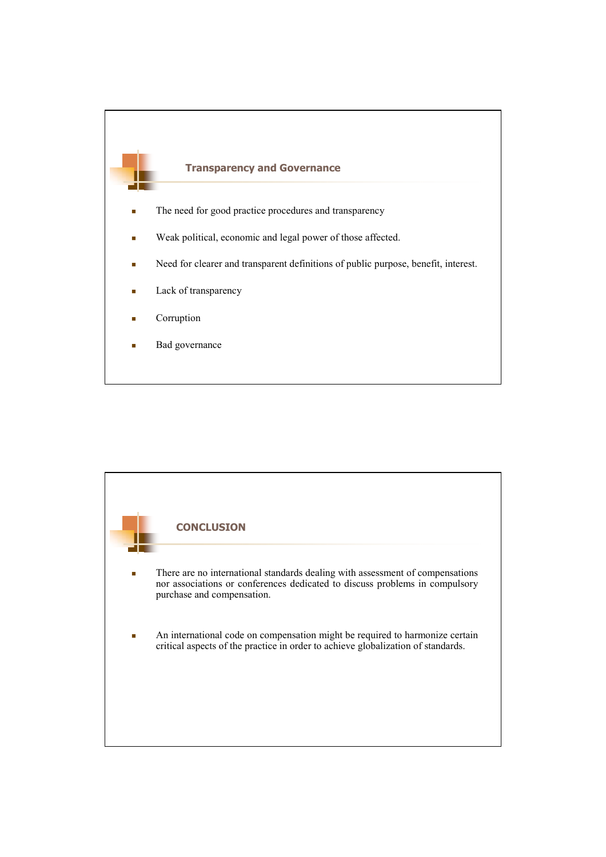